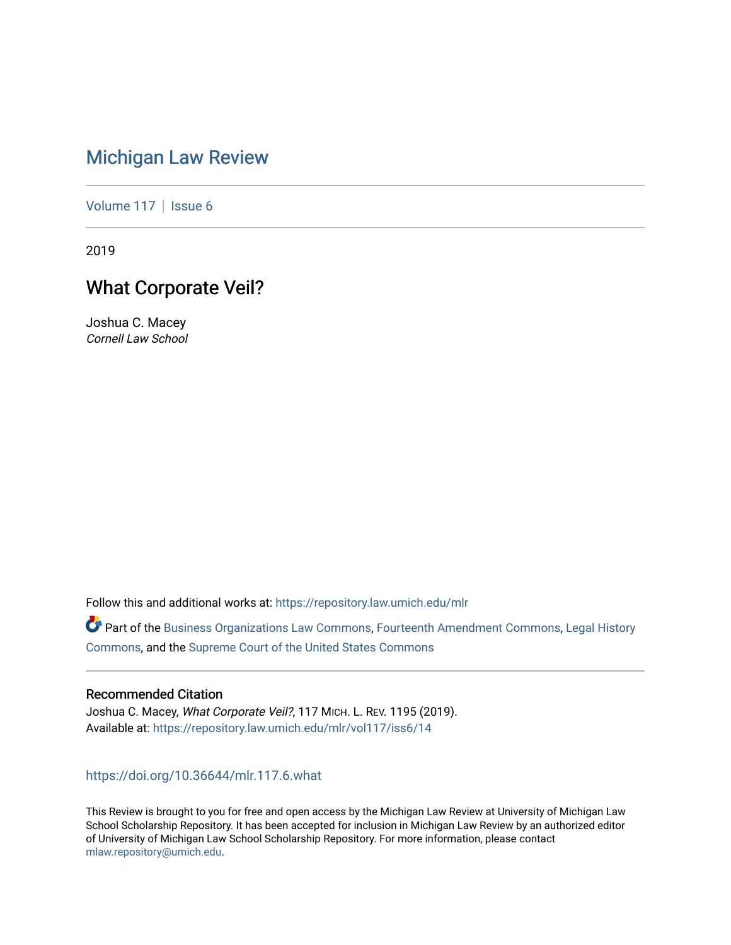# [Michigan Law Review](https://repository.law.umich.edu/mlr)

[Volume 117](https://repository.law.umich.edu/mlr/vol117) | [Issue 6](https://repository.law.umich.edu/mlr/vol117/iss6)

2019

## What Corporate Veil?

Joshua C. Macey Cornell Law School

Follow this and additional works at: [https://repository.law.umich.edu/mlr](https://repository.law.umich.edu/mlr?utm_source=repository.law.umich.edu%2Fmlr%2Fvol117%2Fiss6%2F14&utm_medium=PDF&utm_campaign=PDFCoverPages) 

Part of the [Business Organizations Law Commons](http://network.bepress.com/hgg/discipline/900?utm_source=repository.law.umich.edu%2Fmlr%2Fvol117%2Fiss6%2F14&utm_medium=PDF&utm_campaign=PDFCoverPages), [Fourteenth Amendment Commons,](http://network.bepress.com/hgg/discipline/1116?utm_source=repository.law.umich.edu%2Fmlr%2Fvol117%2Fiss6%2F14&utm_medium=PDF&utm_campaign=PDFCoverPages) [Legal History](http://network.bepress.com/hgg/discipline/904?utm_source=repository.law.umich.edu%2Fmlr%2Fvol117%2Fiss6%2F14&utm_medium=PDF&utm_campaign=PDFCoverPages)  [Commons](http://network.bepress.com/hgg/discipline/904?utm_source=repository.law.umich.edu%2Fmlr%2Fvol117%2Fiss6%2F14&utm_medium=PDF&utm_campaign=PDFCoverPages), and the [Supreme Court of the United States Commons](http://network.bepress.com/hgg/discipline/1350?utm_source=repository.law.umich.edu%2Fmlr%2Fvol117%2Fiss6%2F14&utm_medium=PDF&utm_campaign=PDFCoverPages) 

#### Recommended Citation

Joshua C. Macey, What Corporate Veil?, 117 MICH. L. REV. 1195 (2019). Available at: [https://repository.law.umich.edu/mlr/vol117/iss6/14](https://repository.law.umich.edu/mlr/vol117/iss6/14?utm_source=repository.law.umich.edu%2Fmlr%2Fvol117%2Fiss6%2F14&utm_medium=PDF&utm_campaign=PDFCoverPages) 

<https://doi.org/10.36644/mlr.117.6.what>

This Review is brought to you for free and open access by the Michigan Law Review at University of Michigan Law School Scholarship Repository. It has been accepted for inclusion in Michigan Law Review by an authorized editor of University of Michigan Law School Scholarship Repository. For more information, please contact [mlaw.repository@umich.edu.](mailto:mlaw.repository@umich.edu)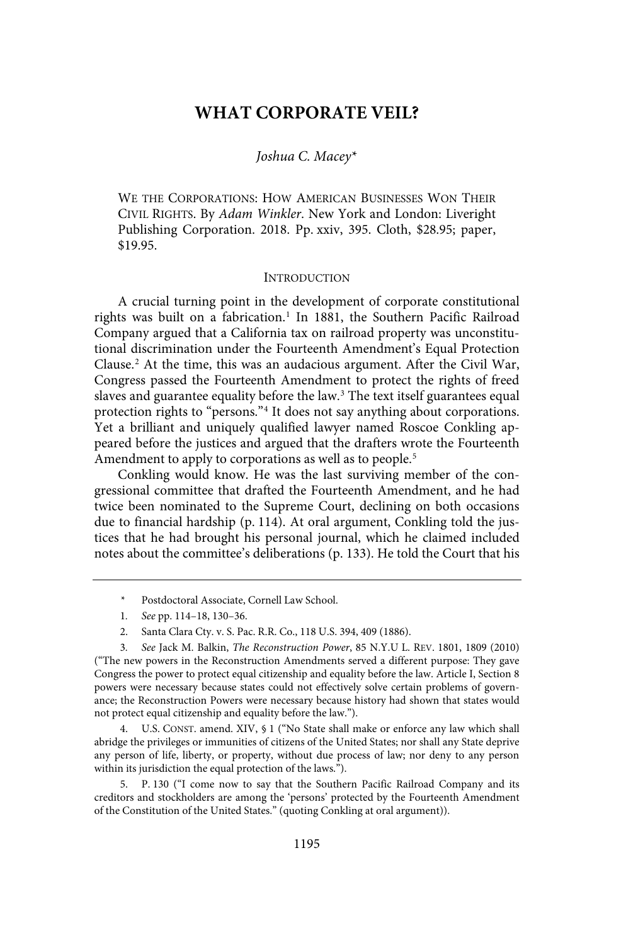### **WHAT CORPORATE VEIL?**

#### Joshua C. Macev\*

WE THE CORPORATIONS: HOW AMERICAN BUSINESSES WON THEIR CIVIL RIGHTS. By Adam Winkler. New York and London: Liveright Publishing Corporation. 2018. Pp. xxiv, 395. Cloth, \$28.95; paper, \$19.95.

#### **INTRODUCTION**

A crucial turning point in the development of corporate constitutional rights was built on a fabrication.<sup>1</sup> In 1881, the Southern Pacific Railroad Company argued that a California tax on railroad property was unconstitutional discrimination under the Fourteenth Amendment's Equal Protection Clause.<sup>2</sup> At the time, this was an audacious argument. After the Civil War, Congress passed the Fourteenth Amendment to protect the rights of freed slaves and guarantee equality before the law.<sup>3</sup> The text itself guarantees equal protection rights to "persons."<sup>4</sup> It does not say anything about corporations. Yet a brilliant and uniquely qualified lawyer named Roscoe Conkling appeared before the justices and argued that the drafters wrote the Fourteenth Amendment to apply to corporations as well as to people.<sup>5</sup>

Conkling would know. He was the last surviving member of the congressional committee that drafted the Fourteenth Amendment, and he had twice been nominated to the Supreme Court, declining on both occasions due to financial hardship (p. 114). At oral argument, Conkling told the justices that he had brought his personal journal, which he claimed included notes about the committee's deliberations (p. 133). He told the Court that his

- \* Postdoctoral Associate, Cornell Law School.
- 1. See pp. 114-18, 130-36.
- 2. Santa Clara Cty. v. S. Pac. R.R. Co., 118 U.S. 394, 409 (1886).

3 . See Jack M. Balkin, The Reconstruction Power, 85 N.Y.U L. REV. 1801, 1809 (2010) ("The new powers in the Reconstruction Amendments served a different purpose: They gave Congress the power to protect equal citizenship and equality before the law. Article I, Section 8 powers were necessary because states could not effectively solve certain problems of governance; the Reconstruction Powers were necessary because history had shown that states would not protect equal citizenship and equality before the law.").

4. U.S. CONST. amend. XIV, § 1 ("No State shall make or enforce any law which shall abridge the privileges or immunities of citizens of the United States; nor shall any State deprive any person of life, liberty, or property, without due process of law; nor deny to any person within its jurisdiction the equal protection of the laws.").

5. P. 130 ("I come now to say that the Southern Pacific Railroad Company and its creditors and stockholders are among the 'persons' protected by the Fourteenth Amendment of the Constitution of the United States." (quoting Conkling at oral argument)).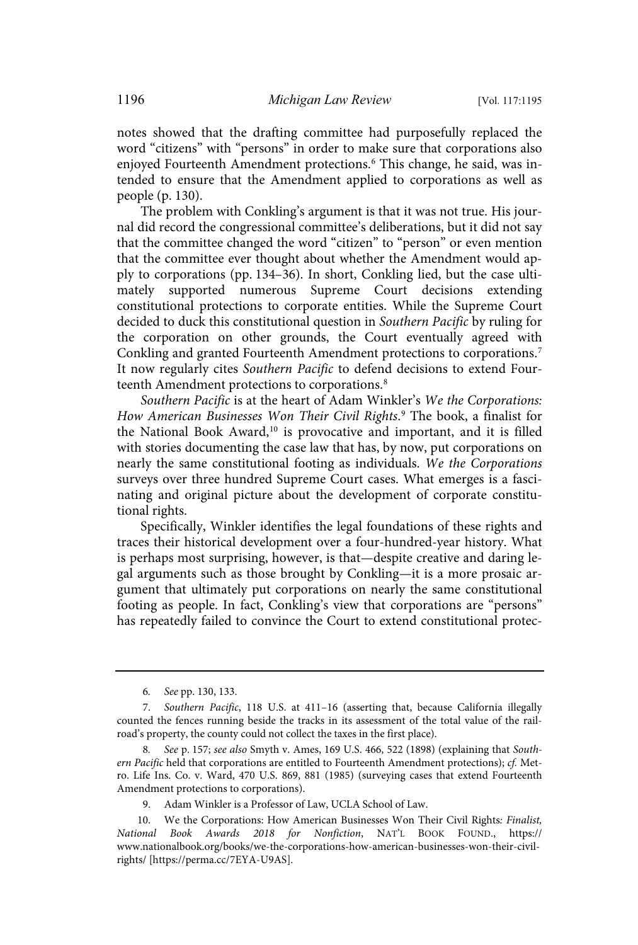notes showed that the drafting committee had purposefully replaced the word "citizens" with "persons" in order to make sure that corporations also enjoyed Fourteenth Amendment protections.<sup>6</sup> This change, he said, was intended to ensure that the Amendment applied to corporations as well as people (p. 130).

The problem with Conkling's argument is that it was not true. His journal did record the congressional committee's deliberations, but it did not say that the committee changed the word "citizen" to "person" or even mention that the committee ever thought about whether the Amendment would apply to corporations (pp. 134–36). In short, Conkling lied, but the case ultimately supported numerous Supreme Court decisions extending constitutional protections to corporate entities. While the Supreme Court decided to duck this constitutional question in Southern Pacific by ruling for the corporation on other grounds, the Court eventually agreed with Conkling and granted Fourteenth Amendment protections to corporations.<sup>7</sup> It now regularly cites Southern Pacific to defend decisions to extend Fourteenth Amendment protections to corporations.<sup>8</sup>

Southern Pacific is at the heart of Adam Winkler's We the Corporations: How American Businesses Won Their Civil Rights. <sup>9</sup> The book, a finalist for the National Book Award,<sup>10</sup> is provocative and important, and it is filled with stories documenting the case law that has, by now, put corporations on nearly the same constitutional footing as individuals. We the Corporations surveys over three hundred Supreme Court cases. What emerges is a fascinating and original picture about the development of corporate constitutional rights.

Specifically, Winkler identifies the legal foundations of these rights and traces their historical development over a four-hundred-year history. What is perhaps most surprising, however, is that—despite creative and daring legal arguments such as those brought by Conkling—it is a more prosaic argument that ultimately put corporations on nearly the same constitutional footing as people. In fact, Conkling's view that corporations are "persons" has repeatedly failed to convince the Court to extend constitutional protec-

<sup>6.</sup> See pp. 130, 133.

<sup>7.</sup> Southern Pacific, 118 U.S. at 411–16 (asserting that, because California illegally counted the fences running beside the tracks in its assessment of the total value of the railroad's property, the county could not collect the taxes in the first place).

See p. 157; see also Smyth v. Ames, 169 U.S. 466, 522 (1898) (explaining that Southern Pacific held that corporations are entitled to Fourteenth Amendment protections); cf. Metro. Life Ins. Co. v. Ward, 470 U.S. 869, 881 (1985) (surveying cases that extend Fourteenth Amendment protections to corporations).

<sup>9.</sup> Adam Winkler is a Professor of Law, UCLA School of Law.

<sup>10.</sup> We the Corporations: How American Businesses Won Their Civil Rights: Finalist, National Book Awards 2018 for Nonfiction, NAT'L BOOK FOUND., https:// www.nationalbook.org/books/we-the-corporations-how-american-businesses-won-their-civilrights/ [https://perma.cc/7EYA-U9AS].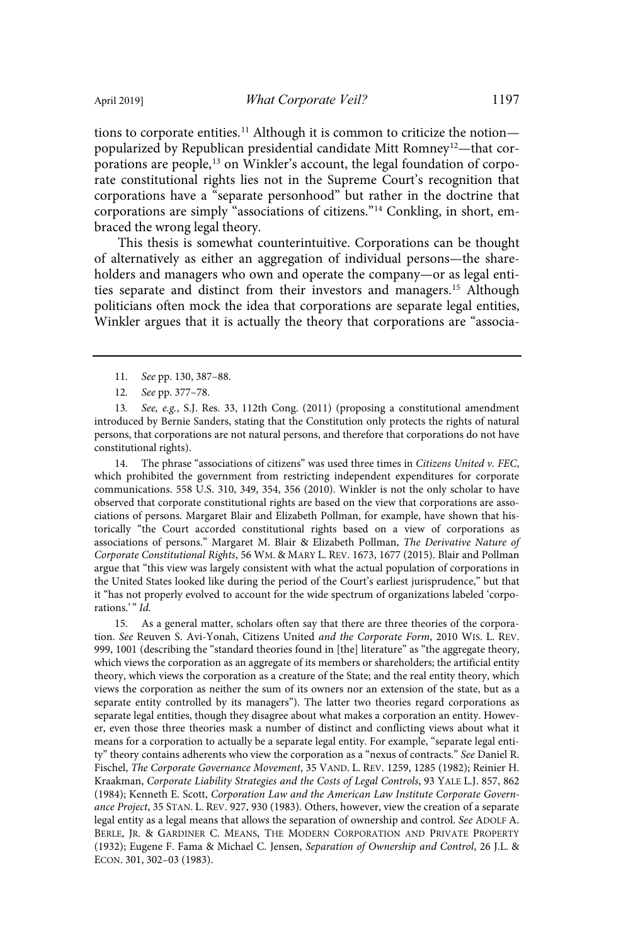tions to corporate entities.<sup>11</sup> Although it is common to criticize the notion popularized by Republican presidential candidate Mitt Romney<sup>12</sup>—that corporations are people,<sup>13</sup> on Winkler's account, the legal foundation of corporate constitutional rights lies not in the Supreme Court's recognition that corporations have a "separate personhood" but rather in the doctrine that corporations are simply "associations of citizens."<sup>14</sup> Conkling, in short, embraced the wrong legal theory.

This thesis is somewhat counterintuitive. Corporations can be thought of alternatively as either an aggregation of individual persons—the shareholders and managers who own and operate the company—or as legal entities separate and distinct from their investors and managers.<sup>15</sup> Although politicians often mock the idea that corporations are separate legal entities, Winkler argues that it is actually the theory that corporations are "associa-

12. See pp. 377-78.

13. See, e.g., S.J. Res. 33, 112th Cong. (2011) (proposing a constitutional amendment introduced by Bernie Sanders, stating that the Constitution only protects the rights of natural persons, that corporations are not natural persons, and therefore that corporations do not have constitutional rights).

14. The phrase "associations of citizens" was used three times in Citizens United v. FEC, which prohibited the government from restricting independent expenditures for corporate communications. 558 U.S. 310, 349, 354, 356 (2010). Winkler is not the only scholar to have observed that corporate constitutional rights are based on the view that corporations are associations of persons. Margaret Blair and Elizabeth Pollman, for example, have shown that historically "the Court accorded constitutional rights based on a view of corporations as associations of persons." Margaret M. Blair & Elizabeth Pollman, The Derivative Nature of Corporate Constitutional Rights, 56 WM. & MARY L. REV. 1673, 1677 (2015). Blair and Pollman argue that "this view was largely consistent with what the actual population of corporations in the United States looked like during the period of the Court's earliest jurisprudence," but that it "has not properly evolved to account for the wide spectrum of organizations labeled 'corporations.'" Id.

15. As a general matter, scholars often say that there are three theories of the corporation. See Reuven S. Avi-Yonah, Citizens United and the Corporate Form, 2010 WIS. L. REV. 999, 1001 (describing the "standard theories found in [the] literature" as "the aggregate theory, which views the corporation as an aggregate of its members or shareholders; the artificial entity theory, which views the corporation as a creature of the State; and the real entity theory, which views the corporation as neither the sum of its owners nor an extension of the state, but as a separate entity controlled by its managers"). The latter two theories regard corporations as separate legal entities, though they disagree about what makes a corporation an entity. However, even those three theories mask a number of distinct and conflicting views about what it means for a corporation to actually be a separate legal entity. For example, "separate legal entity" theory contains adherents who view the corporation as a "nexus of contracts." See Daniel R. Fischel, The Corporate Governance Movement, 35 VAND. L. REV. 1259, 1285 (1982); Reinier H. Kraakman, Corporate Liability Strategies and the Costs of Legal Controls, 93 YALE L.J. 857, 862 (1984); Kenneth E. Scott, Corporation Law and the American Law Institute Corporate Governance Project, 35 STAN. L. REV. 927, 930 (1983). Others, however, view the creation of a separate legal entity as a legal means that allows the separation of ownership and control. See ADOLF A. BERLE, JR. & GARDINER C. MEANS, THE MODERN CORPORATION AND PRIVATE PROPERTY (1932); Eugene F. Fama & Michael C. Jensen, Separation of Ownership and Control, 26 J.L. & ECON. 301, 302–03 (1983).

<sup>11.</sup> See pp. 130, 387-88.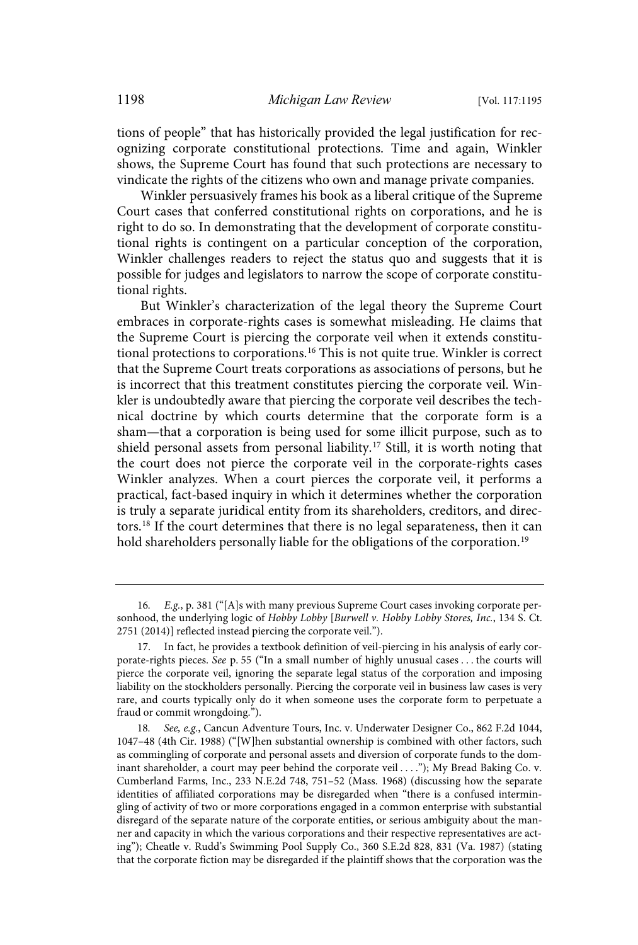tions of people" that has historically provided the legal justification for recognizing corporate constitutional protections. Time and again, Winkler shows, the Supreme Court has found that such protections are necessary to vindicate the rights of the citizens who own and manage private companies.

Winkler persuasively frames his book as a liberal critique of the Supreme Court cases that conferred constitutional rights on corporations, and he is right to do so. In demonstrating that the development of corporate constitutional rights is contingent on a particular conception of the corporation, Winkler challenges readers to reject the status quo and suggests that it is possible for judges and legislators to narrow the scope of corporate constitutional rights.

But Winkler's characterization of the legal theory the Supreme Court embraces in corporate-rights cases is somewhat misleading. He claims that the Supreme Court is piercing the corporate veil when it extends constitutional protections to corporations.<sup>16</sup> This is not quite true. Winkler is correct that the Supreme Court treats corporations as associations of persons, but he is incorrect that this treatment constitutes piercing the corporate veil. Winkler is undoubtedly aware that piercing the corporate veil describes the technical doctrine by which courts determine that the corporate form is a sham—that a corporation is being used for some illicit purpose, such as to shield personal assets from personal liability.<sup>17</sup> Still, it is worth noting that the court does not pierce the corporate veil in the corporate-rights cases Winkler analyzes. When a court pierces the corporate veil, it performs a practical, fact-based inquiry in which it determines whether the corporation is truly a separate juridical entity from its shareholders, creditors, and directors.<sup>18</sup> If the court determines that there is no legal separateness, then it can hold shareholders personally liable for the obligations of the corporation.<sup>19</sup>

<sup>16.</sup> E.g., p. 381 ("[A]s with many previous Supreme Court cases invoking corporate personhood, the underlying logic of Hobby Lobby [Burwell v. Hobby Lobby Stores, Inc., 134 S. Ct. 2751 (2014)] reflected instead piercing the corporate veil.").

<sup>17.</sup> In fact, he provides a textbook definition of veil-piercing in his analysis of early corporate-rights pieces. See p. 55 ("In a small number of highly unusual cases . . . the courts will pierce the corporate veil, ignoring the separate legal status of the corporation and imposing liability on the stockholders personally. Piercing the corporate veil in business law cases is very rare, and courts typically only do it when someone uses the corporate form to perpetuate a fraud or commit wrongdoing.").

See, e.g., Cancun Adventure Tours, Inc. v. Underwater Designer Co., 862 F.2d 1044, 1047–48 (4th Cir. 1988) ("[W]hen substantial ownership is combined with other factors, such as commingling of corporate and personal assets and diversion of corporate funds to the dominant shareholder, a court may peer behind the corporate veil . . . ."); My Bread Baking Co. v. Cumberland Farms, Inc., 233 N.E.2d 748, 751–52 (Mass. 1968) (discussing how the separate identities of affiliated corporations may be disregarded when "there is a confused intermingling of activity of two or more corporations engaged in a common enterprise with substantial disregard of the separate nature of the corporate entities, or serious ambiguity about the manner and capacity in which the various corporations and their respective representatives are acting"); Cheatle v. Rudd's Swimming Pool Supply Co., 360 S.E.2d 828, 831 (Va. 1987) (stating that the corporate fiction may be disregarded if the plaintiff shows that the corporation was the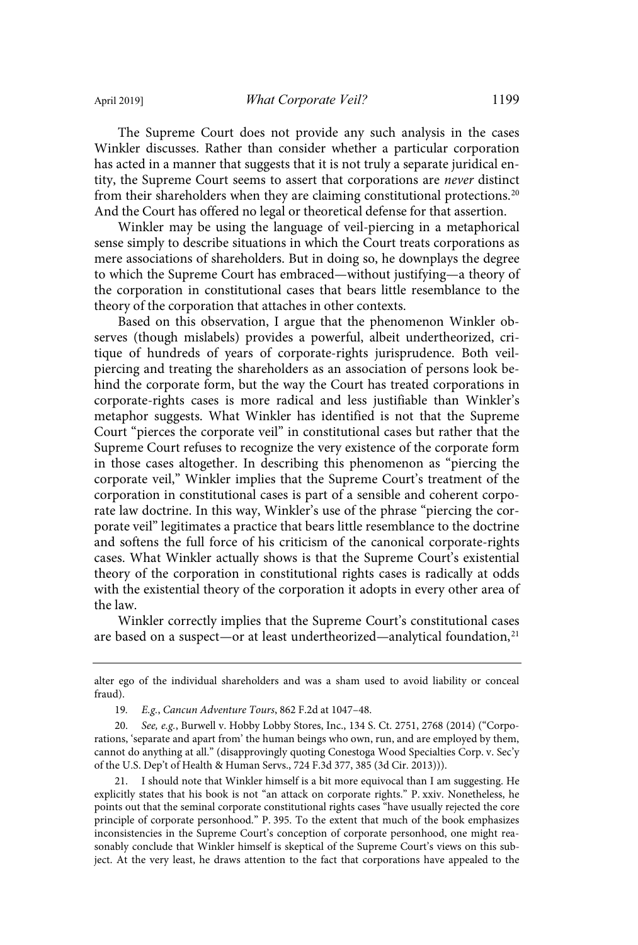The Supreme Court does not provide any such analysis in the cases Winkler discusses. Rather than consider whether a particular corporation has acted in a manner that suggests that it is not truly a separate juridical entity, the Supreme Court seems to assert that corporations are never distinct from their shareholders when they are claiming constitutional protections.<sup>20</sup> And the Court has offered no legal or theoretical defense for that assertion.

Winkler may be using the language of veil-piercing in a metaphorical sense simply to describe situations in which the Court treats corporations as mere associations of shareholders. But in doing so, he downplays the degree to which the Supreme Court has embraced—without justifying—a theory of the corporation in constitutional cases that bears little resemblance to the theory of the corporation that attaches in other contexts.

Based on this observation, I argue that the phenomenon Winkler observes (though mislabels) provides a powerful, albeit undertheorized, critique of hundreds of years of corporate-rights jurisprudence. Both veilpiercing and treating the shareholders as an association of persons look behind the corporate form, but the way the Court has treated corporations in corporate-rights cases is more radical and less justifiable than Winkler's metaphor suggests. What Winkler has identified is not that the Supreme Court "pierces the corporate veil" in constitutional cases but rather that the Supreme Court refuses to recognize the very existence of the corporate form in those cases altogether. In describing this phenomenon as "piercing the corporate veil," Winkler implies that the Supreme Court's treatment of the corporation in constitutional cases is part of a sensible and coherent corporate law doctrine. In this way, Winkler's use of the phrase "piercing the corporate veil" legitimates a practice that bears little resemblance to the doctrine and softens the full force of his criticism of the canonical corporate-rights cases. What Winkler actually shows is that the Supreme Court's existential theory of the corporation in constitutional rights cases is radically at odds with the existential theory of the corporation it adopts in every other area of the law.

Winkler correctly implies that the Supreme Court's constitutional cases are based on a suspect—or at least undertheorized—analytical foundation,<sup>21</sup>

alter ego of the individual shareholders and was a sham used to avoid liability or conceal fraud).

<sup>19.</sup> E.g., Cancun Adventure Tours, 862 F.2d at 1047-48.

<sup>20.</sup> See, e.g., Burwell v. Hobby Lobby Stores, Inc., 134 S. Ct. 2751, 2768 (2014) ("Corporations, 'separate and apart from' the human beings who own, run, and are employed by them, cannot do anything at all." (disapprovingly quoting Conestoga Wood Specialties Corp. v. Sec'y of the U.S. Dep't of Health & Human Servs., 724 F.3d 377, 385 (3d Cir. 2013))).

<sup>21.</sup> I should note that Winkler himself is a bit more equivocal than I am suggesting. He explicitly states that his book is not "an attack on corporate rights." P. xxiv. Nonetheless, he points out that the seminal corporate constitutional rights cases "have usually rejected the core principle of corporate personhood." P. 395. To the extent that much of the book emphasizes inconsistencies in the Supreme Court's conception of corporate personhood, one might reasonably conclude that Winkler himself is skeptical of the Supreme Court's views on this subject. At the very least, he draws attention to the fact that corporations have appealed to the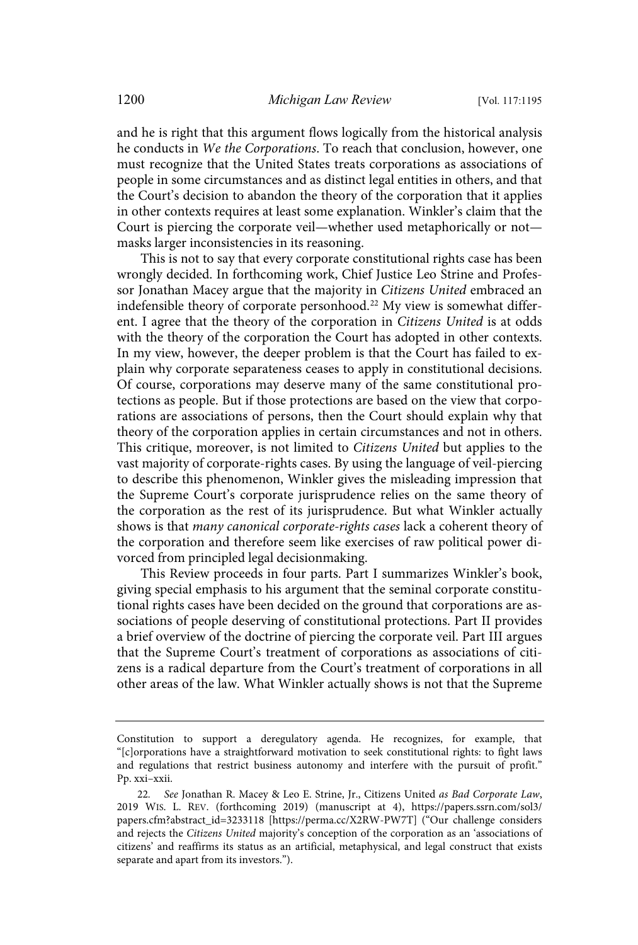and he is right that this argument flows logically from the historical analysis he conducts in We the Corporations. To reach that conclusion, however, one must recognize that the United States treats corporations as associations of people in some circumstances and as distinct legal entities in others, and that the Court's decision to abandon the theory of the corporation that it applies in other contexts requires at least some explanation. Winkler's claim that the Court is piercing the corporate veil—whether used metaphorically or not masks larger inconsistencies in its reasoning.

This is not to say that every corporate constitutional rights case has been wrongly decided. In forthcoming work, Chief Justice Leo Strine and Professor Jonathan Macey argue that the majority in Citizens United embraced an indefensible theory of corporate personhood.<sup>22</sup> My view is somewhat different. I agree that the theory of the corporation in Citizens United is at odds with the theory of the corporation the Court has adopted in other contexts. In my view, however, the deeper problem is that the Court has failed to explain why corporate separateness ceases to apply in constitutional decisions. Of course, corporations may deserve many of the same constitutional protections as people. But if those protections are based on the view that corporations are associations of persons, then the Court should explain why that theory of the corporation applies in certain circumstances and not in others. This critique, moreover, is not limited to Citizens United but applies to the vast majority of corporate-rights cases. By using the language of veil-piercing to describe this phenomenon, Winkler gives the misleading impression that the Supreme Court's corporate jurisprudence relies on the same theory of the corporation as the rest of its jurisprudence. But what Winkler actually shows is that many canonical corporate-rights cases lack a coherent theory of the corporation and therefore seem like exercises of raw political power divorced from principled legal decisionmaking.

This Review proceeds in four parts. Part I summarizes Winkler's book, giving special emphasis to his argument that the seminal corporate constitutional rights cases have been decided on the ground that corporations are associations of people deserving of constitutional protections. Part II provides a brief overview of the doctrine of piercing the corporate veil. Part III argues that the Supreme Court's treatment of corporations as associations of citizens is a radical departure from the Court's treatment of corporations in all other areas of the law. What Winkler actually shows is not that the Supreme

Constitution to support a deregulatory agenda. He recognizes, for example, that "[c]orporations have a straightforward motivation to seek constitutional rights: to fight laws and regulations that restrict business autonomy and interfere with the pursuit of profit." Pp. xxi–xxii.

<sup>22.</sup> See Jonathan R. Macey & Leo E. Strine, Jr., Citizens United as Bad Corporate Law, 2019 WIS. L. REV. (forthcoming 2019) (manuscript at 4), https://papers.ssrn.com/sol3/ papers.cfm?abstract\_id=3233118 [https://perma.cc/X2RW-PW7T] ("Our challenge considers and rejects the Citizens United majority's conception of the corporation as an 'associations of citizens' and reaffirms its status as an artificial, metaphysical, and legal construct that exists separate and apart from its investors.").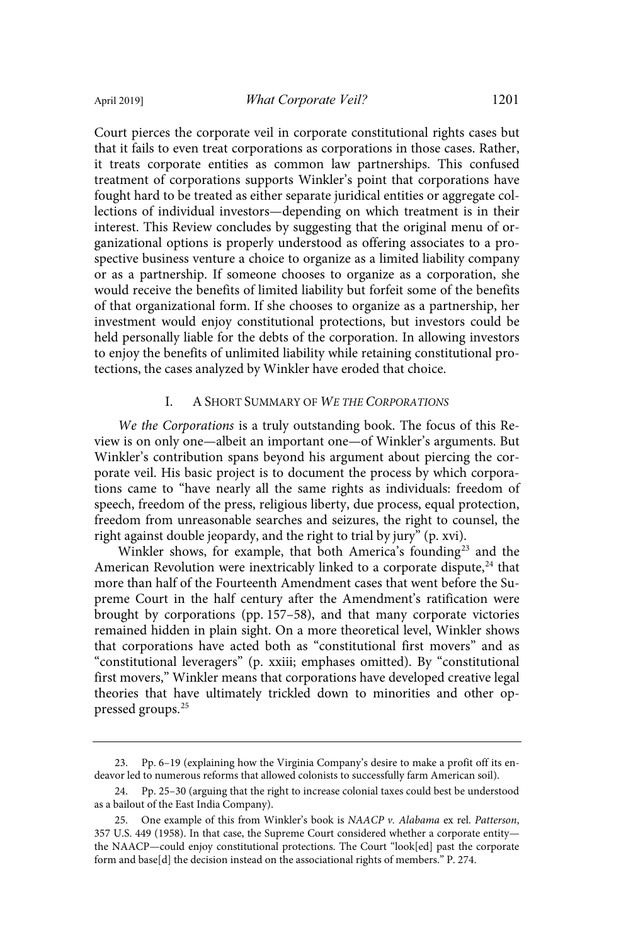Court pierces the corporate veil in corporate constitutional rights cases but that it fails to even treat corporations as corporations in those cases. Rather, it treats corporate entities as common law partnerships. This confused treatment of corporations supports Winkler's point that corporations have fought hard to be treated as either separate juridical entities or aggregate collections of individual investors—depending on which treatment is in their interest. This Review concludes by suggesting that the original menu of organizational options is properly understood as offering associates to a prospective business venture a choice to organize as a limited liability company or as a partnership. If someone chooses to organize as a corporation, she would receive the benefits of limited liability but forfeit some of the benefits of that organizational form. If she chooses to organize as a partnership, her investment would enjoy constitutional protections, but investors could be held personally liable for the debts of the corporation. In allowing investors to enjoy the benefits of unlimited liability while retaining constitutional protections, the cases analyzed by Winkler have eroded that choice.

#### I. A SHORT SUMMARY OF WE THE CORPORATIONS

We the Corporations is a truly outstanding book. The focus of this Review is on only one—albeit an important one—of Winkler's arguments. But Winkler's contribution spans beyond his argument about piercing the corporate veil. His basic project is to document the process by which corporations came to "have nearly all the same rights as individuals: freedom of speech, freedom of the press, religious liberty, due process, equal protection, freedom from unreasonable searches and seizures, the right to counsel, the right against double jeopardy, and the right to trial by jury" (p. xvi).

Winkler shows, for example, that both America's founding<sup>23</sup> and the American Revolution were inextricably linked to a corporate dispute, $24$  that more than half of the Fourteenth Amendment cases that went before the Supreme Court in the half century after the Amendment's ratification were brought by corporations (pp. 157–58), and that many corporate victories remained hidden in plain sight. On a more theoretical level, Winkler shows that corporations have acted both as "constitutional first movers" and as "constitutional leveragers" (p. xxiii; emphases omitted). By "constitutional first movers," Winkler means that corporations have developed creative legal theories that have ultimately trickled down to minorities and other oppressed groups.<sup>25</sup>

<sup>23.</sup> Pp. 6–19 (explaining how the Virginia Company's desire to make a profit off its endeavor led to numerous reforms that allowed colonists to successfully farm American soil).

<sup>24.</sup> Pp. 25–30 (arguing that the right to increase colonial taxes could best be understood as a bailout of the East India Company).

<sup>25.</sup> One example of this from Winkler's book is NAACP v. Alabama ex rel. Patterson, 357 U.S. 449 (1958). In that case, the Supreme Court considered whether a corporate entity the NAACP—could enjoy constitutional protections. The Court "look[ed] past the corporate form and base[d] the decision instead on the associational rights of members." P. 274.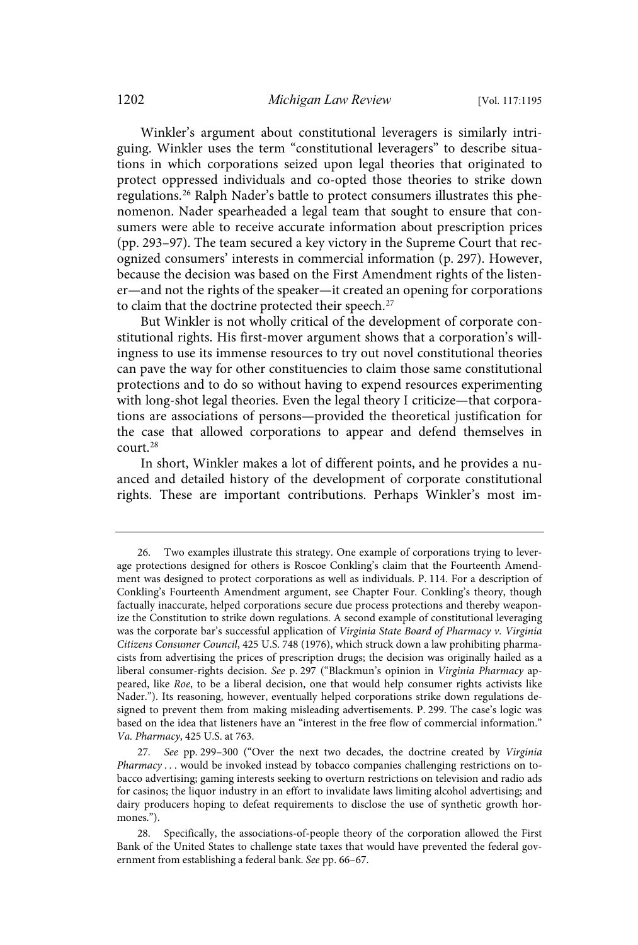Winkler's argument about constitutional leveragers is similarly intriguing. Winkler uses the term "constitutional leveragers" to describe situations in which corporations seized upon legal theories that originated to protect oppressed individuals and co-opted those theories to strike down regulations.<sup>26</sup> Ralph Nader's battle to protect consumers illustrates this phenomenon. Nader spearheaded a legal team that sought to ensure that consumers were able to receive accurate information about prescription prices (pp. 293–97). The team secured a key victory in the Supreme Court that recognized consumers' interests in commercial information (p. 297). However, because the decision was based on the First Amendment rights of the listener—and not the rights of the speaker—it created an opening for corporations to claim that the doctrine protected their speech.<sup>27</sup>

But Winkler is not wholly critical of the development of corporate constitutional rights. His first-mover argument shows that a corporation's willingness to use its immense resources to try out novel constitutional theories can pave the way for other constituencies to claim those same constitutional protections and to do so without having to expend resources experimenting with long-shot legal theories. Even the legal theory I criticize—that corporations are associations of persons—provided the theoretical justification for the case that allowed corporations to appear and defend themselves in court.<sup>28</sup>

In short, Winkler makes a lot of different points, and he provides a nuanced and detailed history of the development of corporate constitutional rights. These are important contributions. Perhaps Winkler's most im-

<sup>26.</sup> Two examples illustrate this strategy. One example of corporations trying to leverage protections designed for others is Roscoe Conkling's claim that the Fourteenth Amendment was designed to protect corporations as well as individuals. P. 114. For a description of Conkling's Fourteenth Amendment argument, see Chapter Four. Conkling's theory, though factually inaccurate, helped corporations secure due process protections and thereby weaponize the Constitution to strike down regulations. A second example of constitutional leveraging was the corporate bar's successful application of Virginia State Board of Pharmacy v. Virginia Citizens Consumer Council, 425 U.S. 748 (1976), which struck down a law prohibiting pharmacists from advertising the prices of prescription drugs; the decision was originally hailed as a liberal consumer-rights decision. See p. 297 ("Blackmun's opinion in Virginia Pharmacy appeared, like Roe, to be a liberal decision, one that would help consumer rights activists like Nader."). Its reasoning, however, eventually helped corporations strike down regulations designed to prevent them from making misleading advertisements. P. 299. The case's logic was based on the idea that listeners have an "interest in the free flow of commercial information." Va . Pharmacy, 425 U.S. at 763.

<sup>27</sup> . See pp. 299–300 ("Over the next two decades, the doctrine created by Virginia Pharmacy . . . would be invoked instead by tobacco companies challenging restrictions on tobacco advertising; gaming interests seeking to overturn restrictions on television and radio ads for casinos; the liquor industry in an effort to invalidate laws limiting alcohol advertising; and dairy producers hoping to defeat requirements to disclose the use of synthetic growth hormones.").

<sup>28.</sup> Specifically, the associations-of-people theory of the corporation allowed the First Bank of the United States to challenge state taxes that would have prevented the federal government from establishing a federal bank. See pp. 66–67.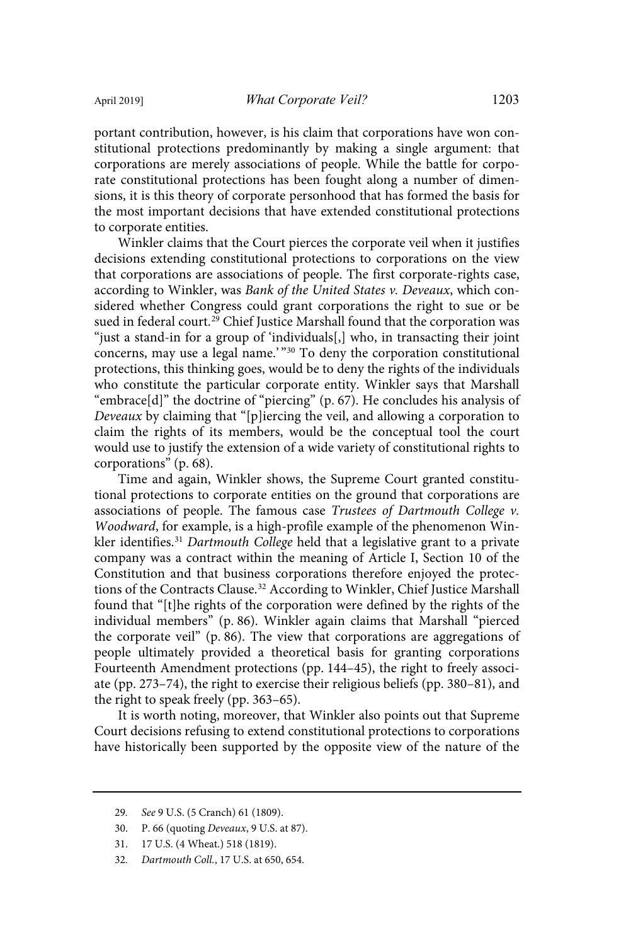portant contribution, however, is his claim that corporations have won constitutional protections predominantly by making a single argument: that corporations are merely associations of people. While the battle for corporate constitutional protections has been fought along a number of dimensions, it is this theory of corporate personhood that has formed the basis for the most important decisions that have extended constitutional protections to corporate entities.

Winkler claims that the Court pierces the corporate veil when it justifies decisions extending constitutional protections to corporations on the view that corporations are associations of people. The first corporate-rights case, according to Winkler, was Bank of the United States v. Deveaux, which considered whether Congress could grant corporations the right to sue or be sued in federal court.<sup>29</sup> Chief Justice Marshall found that the corporation was "just a stand-in for a group of 'individuals[,] who, in transacting their joint concerns, may use a legal name.' " <sup>30</sup> To deny the corporation constitutional protections, this thinking goes, would be to deny the rights of the individuals who constitute the particular corporate entity. Winkler says that Marshall "embrace[d]" the doctrine of "piercing" (p. 67). He concludes his analysis of Deveaux by claiming that "[p]iercing the veil, and allowing a corporation to claim the rights of its members, would be the conceptual tool the court would use to justify the extension of a wide variety of constitutional rights to corporations" (p. 68).

Time and again, Winkler shows, the Supreme Court granted constitutional protections to corporate entities on the ground that corporations are associations of people. The famous case Trustees of Dartmouth College v. Woodward, for example, is a high-profile example of the phenomenon Winkler identifies.<sup>31</sup> Dartmouth College held that a legislative grant to a private company was a contract within the meaning of Article I, Section 10 of the Constitution and that business corporations therefore enjoyed the protections of the Contracts Clause.<sup>32</sup> According to Winkler, Chief Justice Marshall found that "[t]he rights of the corporation were defined by the rights of the individual members" (p. 86). Winkler again claims that Marshall "pierced the corporate veil" (p. 86). The view that corporations are aggregations of people ultimately provided a theoretical basis for granting corporations Fourteenth Amendment protections (pp. 144–45), the right to freely associate (pp. 273–74), the right to exercise their religious beliefs (pp. 380–81), and the right to speak freely (pp. 363–65).

It is worth noting, moreover, that Winkler also points out that Supreme Court decisions refusing to extend constitutional protections to corporations have historically been supported by the opposite view of the nature of the

<sup>29.</sup> See 9 U.S. (5 Cranch) 61 (1809).

<sup>30.</sup> P. 66 (quoting Deveaux, 9 U.S. at 87).

<sup>31. 17</sup> U.S. (4 Wheat.) 518 (1819).

<sup>32.</sup> Dartmouth Coll., 17 U.S. at 650, 654.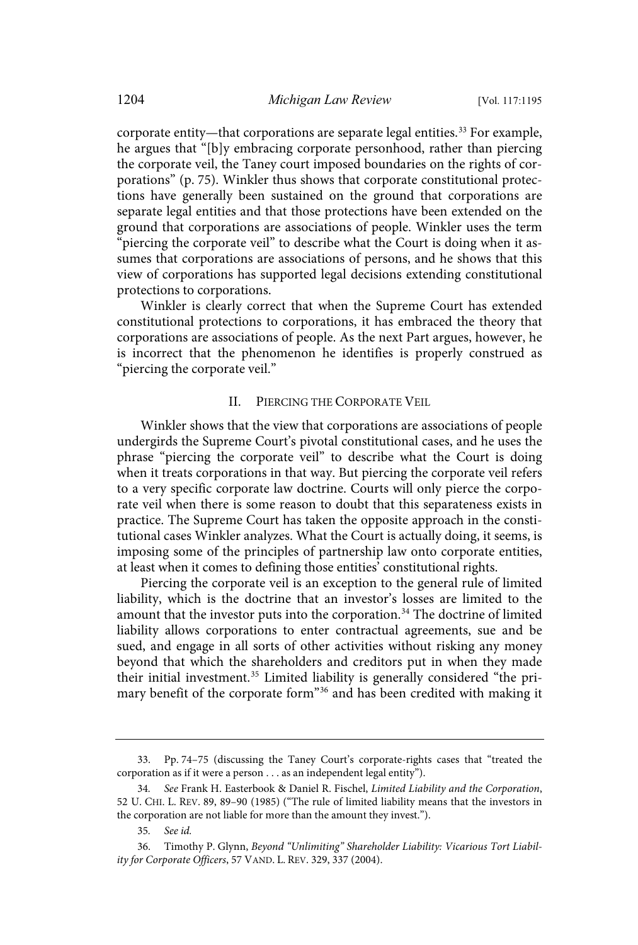corporate entity—that corporations are separate legal entities.<sup>33</sup> For example, he argues that "[b]y embracing corporate personhood, rather than piercing the corporate veil, the Taney court imposed boundaries on the rights of corporations" (p. 75). Winkler thus shows that corporate constitutional protections have generally been sustained on the ground that corporations are separate legal entities and that those protections have been extended on the ground that corporations are associations of people. Winkler uses the term "piercing the corporate veil" to describe what the Court is doing when it assumes that corporations are associations of persons, and he shows that this view of corporations has supported legal decisions extending constitutional protections to corporations.

Winkler is clearly correct that when the Supreme Court has extended constitutional protections to corporations, it has embraced the theory that corporations are associations of people. As the next Part argues, however, he is incorrect that the phenomenon he identifies is properly construed as "piercing the corporate veil."

#### II. PIERCING THE CORPORATE VEIL

Winkler shows that the view that corporations are associations of people undergirds the Supreme Court's pivotal constitutional cases, and he uses the phrase "piercing the corporate veil" to describe what the Court is doing when it treats corporations in that way. But piercing the corporate veil refers to a very specific corporate law doctrine. Courts will only pierce the corporate veil when there is some reason to doubt that this separateness exists in practice. The Supreme Court has taken the opposite approach in the constitutional cases Winkler analyzes. What the Court is actually doing, it seems, is imposing some of the principles of partnership law onto corporate entities, at least when it comes to defining those entities' constitutional rights.

Piercing the corporate veil is an exception to the general rule of limited liability, which is the doctrine that an investor's losses are limited to the amount that the investor puts into the corporation.<sup>34</sup> The doctrine of limited liability allows corporations to enter contractual agreements, sue and be sued, and engage in all sorts of other activities without risking any money beyond that which the shareholders and creditors put in when they made their initial investment.<sup>35</sup> Limited liability is generally considered "the primary benefit of the corporate form"<sup>36</sup> and has been credited with making it

<sup>33.</sup> Pp. 74–75 (discussing the Taney Court's corporate-rights cases that "treated the corporation as if it were a person . . . as an independent legal entity").

<sup>34.</sup> See Frank H. Easterbook & Daniel R. Fischel, Limited Liability and the Corporation, 52 U. CHI. L. REV. 89, 89–90 (1985) ("The rule of limited liability means that the investors in the corporation are not liable for more than the amount they invest.").

<sup>35.</sup> See id.

<sup>36.</sup> Timothy P. Glynn, Beyond "Unlimiting" Shareholder Liability: Vicarious Tort Liability for Corporate Officers, 57 VAND. L. REV. 329, 337 (2004).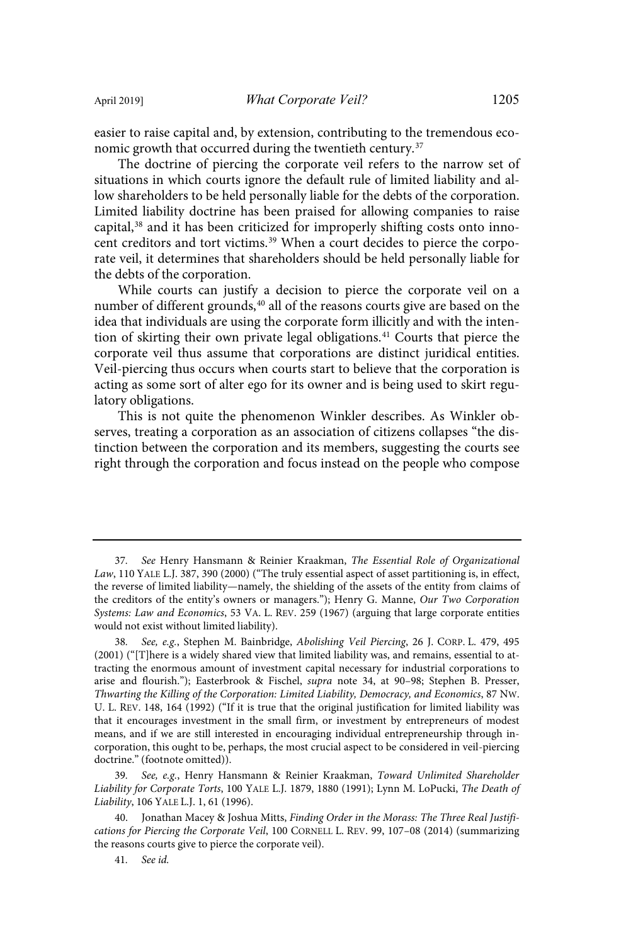easier to raise capital and, by extension, contributing to the tremendous economic growth that occurred during the twentieth century.<sup>37</sup>

The doctrine of piercing the corporate veil refers to the narrow set of situations in which courts ignore the default rule of limited liability and allow shareholders to be held personally liable for the debts of the corporation. Limited liability doctrine has been praised for allowing companies to raise capital,<sup>38</sup> and it has been criticized for improperly shifting costs onto innocent creditors and tort victims.<sup>39</sup> When a court decides to pierce the corporate veil, it determines that shareholders should be held personally liable for the debts of the corporation.

While courts can justify a decision to pierce the corporate veil on a number of different grounds,<sup>40</sup> all of the reasons courts give are based on the idea that individuals are using the corporate form illicitly and with the intention of skirting their own private legal obligations.<sup>41</sup> Courts that pierce the corporate veil thus assume that corporations are distinct juridical entities. Veil-piercing thus occurs when courts start to believe that the corporation is acting as some sort of alter ego for its owner and is being used to skirt regulatory obligations.

This is not quite the phenomenon Winkler describes. As Winkler observes, treating a corporation as an association of citizens collapses "the distinction between the corporation and its members, suggesting the courts see right through the corporation and focus instead on the people who compose

<sup>37.</sup> See Henry Hansmann & Reinier Kraakman, The Essential Role of Organizational Law, 110 YALE L.J. 387, 390 (2000) ("The truly essential aspect of asset partitioning is, in effect, the reverse of limited liability—namely, the shielding of the assets of the entity from claims of the creditors of the entity's owners or managers."); Henry G. Manne, Our Two Corporation Systems: Law and Economics, 53 VA. L. REV. 259 (1967) (arguing that large corporate entities would not exist without limited liability).

See, e.g., Stephen M. Bainbridge, Abolishing Veil Piercing, 26 J. CORP. L. 479, 495 (2001) ("[T]here is a widely shared view that limited liability was, and remains, essential to attracting the enormous amount of investment capital necessary for industrial corporations to arise and flourish."); Easterbrook & Fischel, supra note 34, at 90–98; Stephen B. Presser, Thwarting the Killing of the Corporation: Limited Liability, Democracy, and Economics, 87 NW. U. L. REV. 148, 164 (1992) ("If it is true that the original justification for limited liability was that it encourages investment in the small firm, or investment by entrepreneurs of modest means, and if we are still interested in encouraging individual entrepreneurship through incorporation, this ought to be, perhaps, the most crucial aspect to be considered in veil-piercing doctrine." (footnote omitted)).

<sup>39.</sup> See, e.g., Henry Hansmann & Reinier Kraakman, Toward Unlimited Shareholder Liability for Corporate Torts, 100 YALE L.J. 1879, 1880 (1991); Lynn M. LoPucki, The Death of Liability, 106 YALE L.J. 1, 61 (1996).

Jonathan Macey & Joshua Mitts, Finding Order in the Morass: The Three Real Justifications for Piercing the Corporate Veil, 100 CORNELL L. REV. 99, 107–08 (2014) (summarizing the reasons courts give to pierce the corporate veil).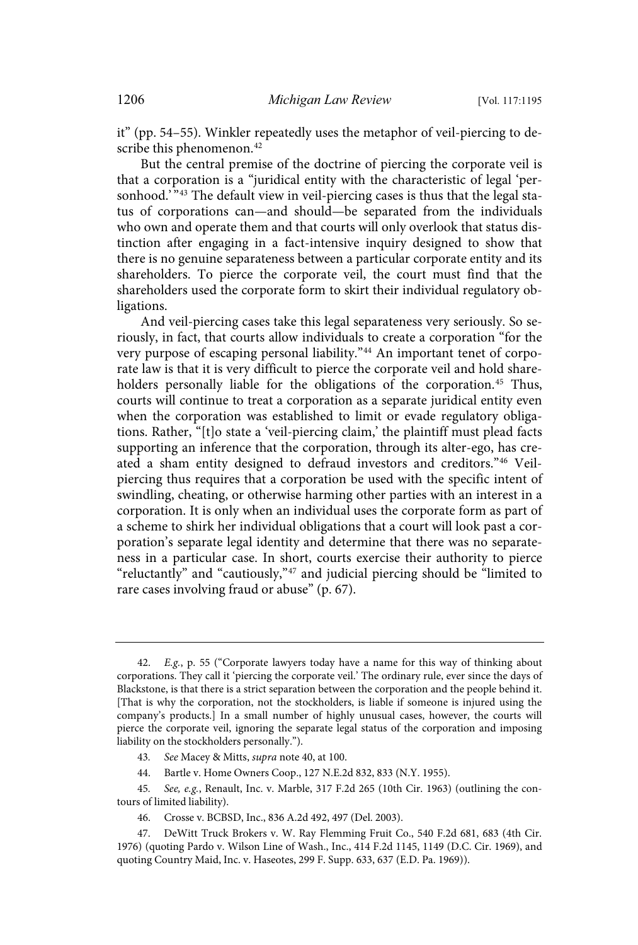it" (pp. 54–55). Winkler repeatedly uses the metaphor of veil-piercing to describe this phenomenon.<sup>42</sup>

But the central premise of the doctrine of piercing the corporate veil is that a corporation is a "juridical entity with the characteristic of legal 'personhood.' "<sup>43</sup> The default view in veil-piercing cases is thus that the legal status of corporations can—and should—be separated from the individuals who own and operate them and that courts will only overlook that status distinction after engaging in a fact-intensive inquiry designed to show that there is no genuine separateness between a particular corporate entity and its shareholders. To pierce the corporate veil, the court must find that the shareholders used the corporate form to skirt their individual regulatory obligations.

And veil-piercing cases take this legal separateness very seriously. So seriously, in fact, that courts allow individuals to create a corporation "for the very purpose of escaping personal liability."<sup>44</sup> An important tenet of corporate law is that it is very difficult to pierce the corporate veil and hold shareholders personally liable for the obligations of the corporation.<sup>45</sup> Thus, courts will continue to treat a corporation as a separate juridical entity even when the corporation was established to limit or evade regulatory obligations. Rather, "[t]o state a 'veil-piercing claim,' the plaintiff must plead facts supporting an inference that the corporation, through its alter-ego, has created a sham entity designed to defraud investors and creditors."<sup>46</sup> Veilpiercing thus requires that a corporation be used with the specific intent of swindling, cheating, or otherwise harming other parties with an interest in a corporation. It is only when an individual uses the corporate form as part of a scheme to shirk her individual obligations that a court will look past a corporation's separate legal identity and determine that there was no separateness in a particular case. In short, courts exercise their authority to pierce "reluctantly" and "cautiously,"<sup>47</sup> and judicial piercing should be "limited to rare cases involving fraud or abuse" (p. 67).

44. Bartle v. Home Owners Coop., 127 N.E.2d 832, 833 (N.Y. 1955).

45. See, e.g., Renault, Inc. v. Marble, 317 F.2d 265 (10th Cir. 1963) (outlining the contours of limited liability).

<sup>42.</sup> E.g., p. 55 ("Corporate lawyers today have a name for this way of thinking about corporations. They call it 'piercing the corporate veil.' The ordinary rule, ever since the days of Blackstone, is that there is a strict separation between the corporation and the people behind it. [That is why the corporation, not the stockholders, is liable if someone is injured using the company's products.] In a small number of highly unusual cases, however, the courts will pierce the corporate veil, ignoring the separate legal status of the corporation and imposing liability on the stockholders personally.").

<sup>43.</sup> See Macey & Mitts, supra note 40, at 100.

<sup>46.</sup> Crosse v. BCBSD, Inc., 836 A.2d 492, 497 (Del. 2003).

<sup>47.</sup> DeWitt Truck Brokers v. W. Ray Flemming Fruit Co., 540 F.2d 681, 683 (4th Cir. 1976) (quoting Pardo v. Wilson Line of Wash., Inc., 414 F.2d 1145, 1149 (D.C. Cir. 1969), and quoting Country Maid, Inc. v. Haseotes, 299 F. Supp. 633, 637 (E.D. Pa. 1969)).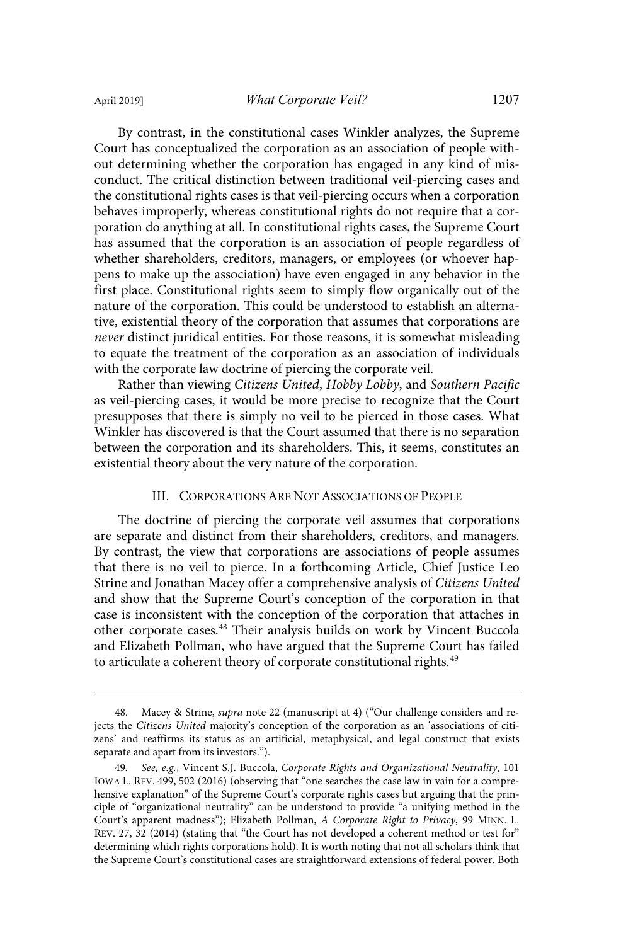By contrast, in the constitutional cases Winkler analyzes, the Supreme

Court has conceptualized the corporation as an association of people without determining whether the corporation has engaged in any kind of misconduct. The critical distinction between traditional veil-piercing cases and the constitutional rights cases is that veil-piercing occurs when a corporation behaves improperly, whereas constitutional rights do not require that a corporation do anything at all. In constitutional rights cases, the Supreme Court has assumed that the corporation is an association of people regardless of whether shareholders, creditors, managers, or employees (or whoever happens to make up the association) have even engaged in any behavior in the first place. Constitutional rights seem to simply flow organically out of the nature of the corporation. This could be understood to establish an alternative, existential theory of the corporation that assumes that corporations are never distinct juridical entities. For those reasons, it is somewhat misleading to equate the treatment of the corporation as an association of individuals with the corporate law doctrine of piercing the corporate veil.

Rather than viewing Citizens United, Hobby Lobby, and Southern Pacific as veil-piercing cases, it would be more precise to recognize that the Court presupposes that there is simply no veil to be pierced in those cases. What Winkler has discovered is that the Court assumed that there is no separation between the corporation and its shareholders. This, it seems, constitutes an existential theory about the very nature of the corporation.

#### III. CORPORATIONS ARE NOT ASSOCIATIONS OF PEOPLE

The doctrine of piercing the corporate veil assumes that corporations are separate and distinct from their shareholders, creditors, and managers. By contrast, the view that corporations are associations of people assumes that there is no veil to pierce. In a forthcoming Article, Chief Justice Leo Strine and Jonathan Macey offer a comprehensive analysis of Citizens United and show that the Supreme Court's conception of the corporation in that case is inconsistent with the conception of the corporation that attaches in other corporate cases.<sup>48</sup> Their analysis builds on work by Vincent Buccola and Elizabeth Pollman, who have argued that the Supreme Court has failed to articulate a coherent theory of corporate constitutional rights.<sup>49</sup>

<sup>48.</sup> Macey & Strine, supra note 22 (manuscript at 4) ("Our challenge considers and rejects the Citizens United majority's conception of the corporation as an 'associations of citizens' and reaffirms its status as an artificial, metaphysical, and legal construct that exists separate and apart from its investors.").

<sup>49.</sup> See, e.g., Vincent S.J. Buccola, Corporate Rights and Organizational Neutrality, 101 IOWA L. REV. 499, 502 (2016) (observing that "one searches the case law in vain for a comprehensive explanation" of the Supreme Court's corporate rights cases but arguing that the principle of "organizational neutrality" can be understood to provide "a unifying method in the Court's apparent madness"); Elizabeth Pollman, A Corporate Right to Privacy, 99 MINN. L. REV. 27, 32 (2014) (stating that "the Court has not developed a coherent method or test for" determining which rights corporations hold). It is worth noting that not all scholars think that the Supreme Court's constitutional cases are straightforward extensions of federal power. Both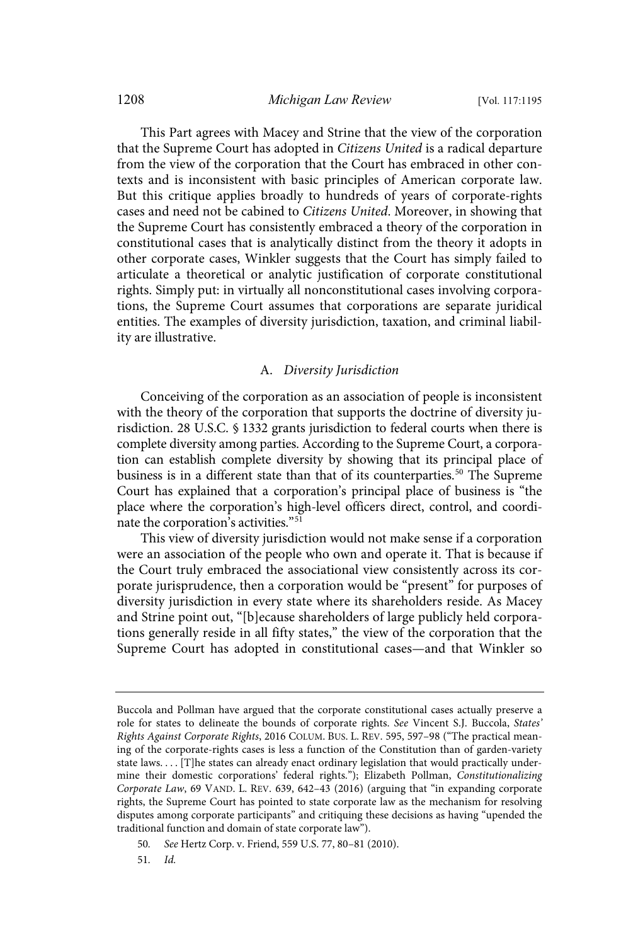This Part agrees with Macey and Strine that the view of the corporation that the Supreme Court has adopted in Citizens United is a radical departure from the view of the corporation that the Court has embraced in other contexts and is inconsistent with basic principles of American corporate law. But this critique applies broadly to hundreds of years of corporate-rights cases and need not be cabined to Citizens United. Moreover, in showing that the Supreme Court has consistently embraced a theory of the corporation in constitutional cases that is analytically distinct from the theory it adopts in other corporate cases, Winkler suggests that the Court has simply failed to articulate a theoretical or analytic justification of corporate constitutional rights. Simply put: in virtually all nonconstitutional cases involving corporations, the Supreme Court assumes that corporations are separate juridical entities. The examples of diversity jurisdiction, taxation, and criminal liability are illustrative.

#### A. Diversity Jurisdiction

Conceiving of the corporation as an association of people is inconsistent with the theory of the corporation that supports the doctrine of diversity jurisdiction. 28 U.S.C. § 1332 grants jurisdiction to federal courts when there is complete diversity among parties. According to the Supreme Court, a corporation can establish complete diversity by showing that its principal place of business is in a different state than that of its counterparties.<sup>50</sup> The Supreme Court has explained that a corporation's principal place of business is "the place where the corporation's high-level officers direct, control, and coordinate the corporation's activities."<sup>51</sup>

This view of diversity jurisdiction would not make sense if a corporation were an association of the people who own and operate it. That is because if the Court truly embraced the associational view consistently across its corporate jurisprudence, then a corporation would be "present" for purposes of diversity jurisdiction in every state where its shareholders reside. As Macey and Strine point out, "[b]ecause shareholders of large publicly held corporations generally reside in all fifty states," the view of the corporation that the Supreme Court has adopted in constitutional cases—and that Winkler so

50 . See Hertz Corp. v. Friend, 559 U.S. 77, 80–81 (2010).

51. Id.

Buccola and Pollman have argued that the corporate constitutional cases actually preserve a role for states to delineate the bounds of corporate rights. See Vincent S.J. Buccola, States' Rights Against Corporate Rights, 2016 COLUM. BUS. L. REV. 595, 597–98 ("The practical meaning of the corporate-rights cases is less a function of the Constitution than of garden-variety state laws. . . . [T]he states can already enact ordinary legislation that would practically undermine their domestic corporations' federal rights."); Elizabeth Pollman, Constitutionalizing Corporate Law, 69 VAND. L. REV. 639, 642–43 (2016) (arguing that "in expanding corporate rights, the Supreme Court has pointed to state corporate law as the mechanism for resolving disputes among corporate participants" and critiquing these decisions as having "upended the traditional function and domain of state corporate law").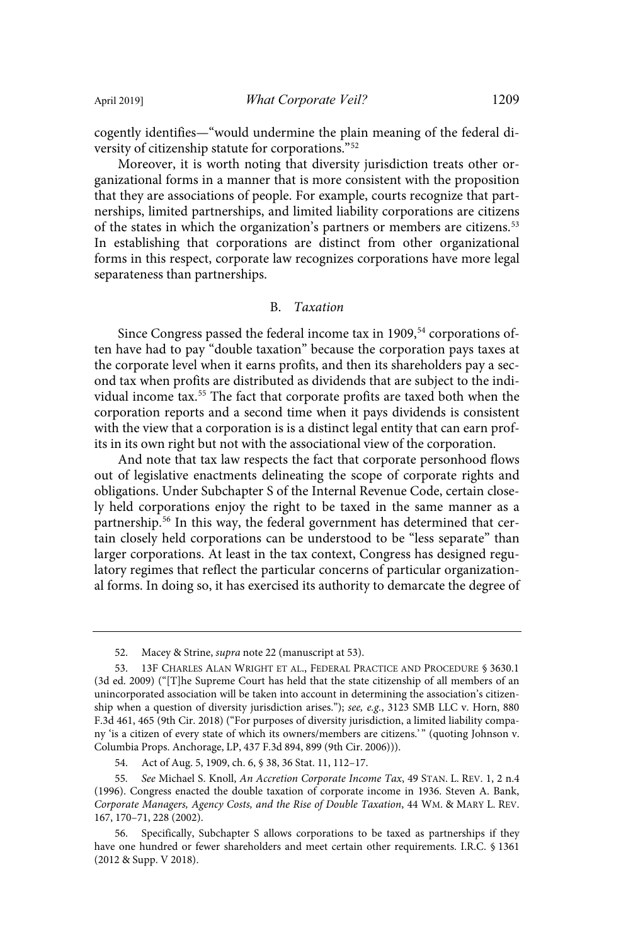cogently identifies—"would undermine the plain meaning of the federal diversity of citizenship statute for corporations."<sup>52</sup>

Moreover, it is worth noting that diversity jurisdiction treats other organizational forms in a manner that is more consistent with the proposition that they are associations of people. For example, courts recognize that partnerships, limited partnerships, and limited liability corporations are citizens of the states in which the organization's partners or members are citizens.<sup>53</sup> In establishing that corporations are distinct from other organizational forms in this respect, corporate law recognizes corporations have more legal separateness than partnerships.

#### B. Taxation

Since Congress passed the federal income tax in 1909,<sup>54</sup> corporations often have had to pay "double taxation" because the corporation pays taxes at the corporate level when it earns profits, and then its shareholders pay a second tax when profits are distributed as dividends that are subject to the individual income tax.<sup>55</sup> The fact that corporate profits are taxed both when the corporation reports and a second time when it pays dividends is consistent with the view that a corporation is is a distinct legal entity that can earn profits in its own right but not with the associational view of the corporation.

And note that tax law respects the fact that corporate personhood flows out of legislative enactments delineating the scope of corporate rights and obligations. Under Subchapter S of the Internal Revenue Code, certain closely held corporations enjoy the right to be taxed in the same manner as a partnership.<sup>56</sup> In this way, the federal government has determined that certain closely held corporations can be understood to be "less separate" than larger corporations. At least in the tax context, Congress has designed regulatory regimes that reflect the particular concerns of particular organizational forms. In doing so, it has exercised its authority to demarcate the degree of

<sup>52.</sup> Macey & Strine, *supra* note 22 (manuscript at 53).

<sup>53. 13</sup>F CHARLES ALAN WRIGHT ET AL., FEDERAL PRACTICE AND PROCEDURE § 3630.1 (3d ed. 2009) ("[T]he Supreme Court has held that the state citizenship of all members of an unincorporated association will be taken into account in determining the association's citizenship when a question of diversity jurisdiction arises."); see, e.g., 3123 SMB LLC v. Horn, 880 F.3d 461, 465 (9th Cir. 2018) ("For purposes of diversity jurisdiction, a limited liability company 'is a citizen of every state of which its owners/members are citizens.' " (quoting Johnson v. Columbia Props. Anchorage, LP, 437 F.3d 894, 899 (9th Cir. 2006))).

<sup>54.</sup> Act of Aug. 5, 1909, ch. 6, § 38, 36 Stat. 11, 112–17.

<sup>55.</sup> See Michael S. Knoll, An Accretion Corporate Income Tax, 49 STAN. L. REV. 1, 2 n.4 (1996). Congress enacted the double taxation of corporate income in 1936. Steven A. Bank, Corporate Managers, Agency Costs, and the Rise of Double Taxation, 44 WM. & MARY L. REV. 167, 170–71, 228 (2002).

<sup>56.</sup> Specifically, Subchapter S allows corporations to be taxed as partnerships if they have one hundred or fewer shareholders and meet certain other requirements. I.R.C. § 1361 (2012 & Supp. V 2018).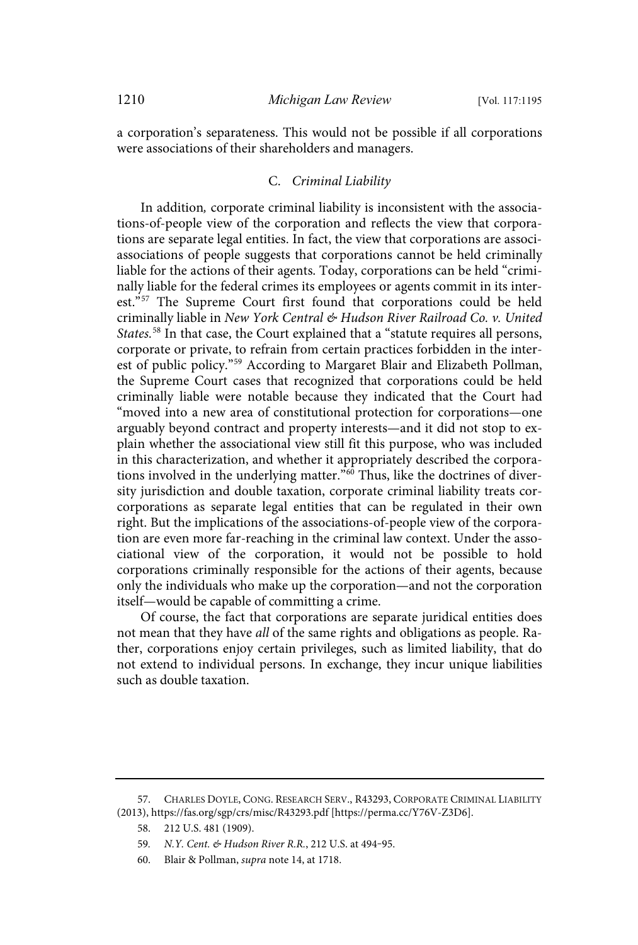a corporation's separateness. This would not be possible if all corporations were associations of their shareholders and managers.

#### C. Criminal Liability

In addition, corporate criminal liability is inconsistent with the associations-of-people view of the corporation and reflects the view that corporations are separate legal entities. In fact, the view that corporations are associassociations of people suggests that corporations cannot be held criminally liable for the actions of their agents. Today, corporations can be held "criminally liable for the federal crimes its employees or agents commit in its interest."<sup>57</sup> The Supreme Court first found that corporations could be held criminally liable in New York Central & Hudson River Railroad Co. v. United States.<sup>58</sup> In that case, the Court explained that a "statute requires all persons, corporate or private, to refrain from certain practices forbidden in the interest of public policy."<sup>59</sup> According to Margaret Blair and Elizabeth Pollman, the Supreme Court cases that recognized that corporations could be held criminally liable were notable because they indicated that the Court had "moved into a new area of constitutional protection for corporations—one arguably beyond contract and property interests—and it did not stop to explain whether the associational view still fit this purpose, who was included in this characterization, and whether it appropriately described the corporations involved in the underlying matter."<sup>60</sup> Thus, like the doctrines of diversity jurisdiction and double taxation, corporate criminal liability treats corcorporations as separate legal entities that can be regulated in their own right. But the implications of the associations-of-people view of the corporation are even more far-reaching in the criminal law context. Under the associational view of the corporation, it would not be possible to hold corporations criminally responsible for the actions of their agents, because only the individuals who make up the corporation—and not the corporation itself—would be capable of committing a crime.

Of course, the fact that corporations are separate juridical entities does not mean that they have all of the same rights and obligations as people. Rather, corporations enjoy certain privileges, such as limited liability, that do not extend to individual persons. In exchange, they incur unique liabilities such as double taxation.

<sup>57.</sup> CHARLES DOYLE, CONG. RESEARCH SERV., R43293, CORPORATE CRIMINAL LIABILITY (2013), https://fas.org/sgp/crs/misc/R43293.pdf [https://perma.cc/Y76V-Z3D6].

<sup>58. 212</sup> U.S. 481 (1909).

<sup>59.</sup> N.Y. Cent. & Hudson River R.R., 212 U.S. at 494-95.

<sup>60.</sup> Blair & Pollman, supra note 14, at 1718.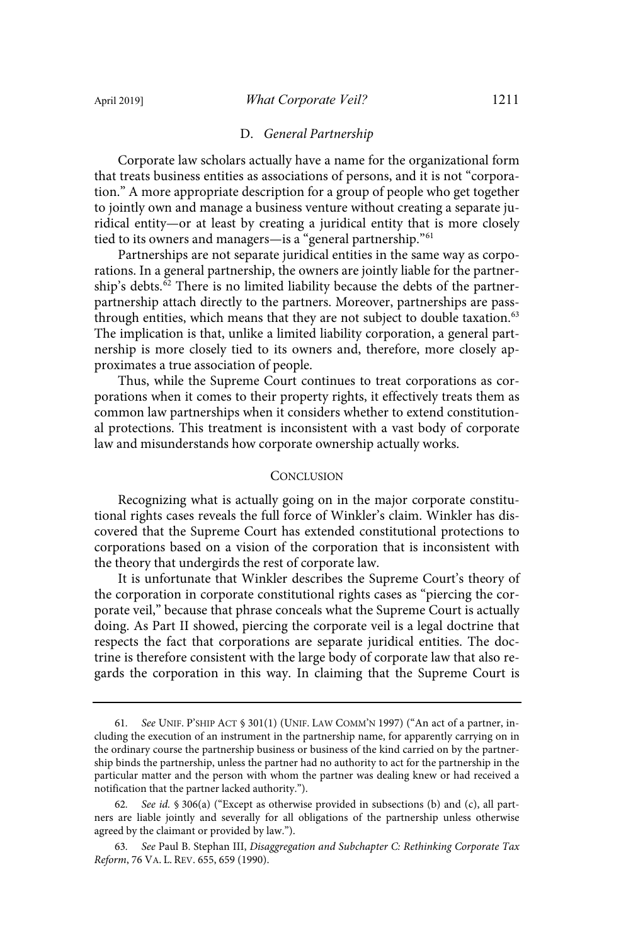#### D. General Partnership

Corporate law scholars actually have a name for the organizational form that treats business entities as associations of persons, and it is not "corporation." A more appropriate description for a group of people who get together to jointly own and manage a business venture without creating a separate juridical entity—or at least by creating a juridical entity that is more closely tied to its owners and managers—is a "general partnership."<sup>61</sup>

Partnerships are not separate juridical entities in the same way as corporations. In a general partnership, the owners are jointly liable for the partnership's debts.<sup>62</sup> There is no limited liability because the debts of the partnerpartnership attach directly to the partners. Moreover, partnerships are passthrough entities, which means that they are not subject to double taxation.<sup>63</sup> The implication is that, unlike a limited liability corporation, a general partnership is more closely tied to its owners and, therefore, more closely approximates a true association of people.

Thus, while the Supreme Court continues to treat corporations as corporations when it comes to their property rights, it effectively treats them as common law partnerships when it considers whether to extend constitutional protections. This treatment is inconsistent with a vast body of corporate law and misunderstands how corporate ownership actually works.

#### **CONCLUSION**

Recognizing what is actually going on in the major corporate constitutional rights cases reveals the full force of Winkler's claim. Winkler has discovered that the Supreme Court has extended constitutional protections to corporations based on a vision of the corporation that is inconsistent with the theory that undergirds the rest of corporate law.

It is unfortunate that Winkler describes the Supreme Court's theory of the corporation in corporate constitutional rights cases as "piercing the corporate veil," because that phrase conceals what the Supreme Court is actually doing. As Part II showed, piercing the corporate veil is a legal doctrine that respects the fact that corporations are separate juridical entities. The doctrine is therefore consistent with the large body of corporate law that also regards the corporation in this way. In claiming that the Supreme Court is

<sup>61.</sup> See UNIF. P'SHIP ACT § 301(1) (UNIF. LAW COMM'N 1997) ("An act of a partner, including the execution of an instrument in the partnership name, for apparently carrying on in the ordinary course the partnership business or business of the kind carried on by the partnership binds the partnership, unless the partner had no authority to act for the partnership in the particular matter and the person with whom the partner was dealing knew or had received a notification that the partner lacked authority.").

<sup>62.</sup> See id. § 306(a) ("Except as otherwise provided in subsections (b) and (c), all partners are liable jointly and severally for all obligations of the partnership unless otherwise agreed by the claimant or provided by law.").

<sup>63.</sup> See Paul B. Stephan III, Disaggregation and Subchapter C: Rethinking Corporate Tax Reform, 76 VA. L. REV. 655, 659 (1990).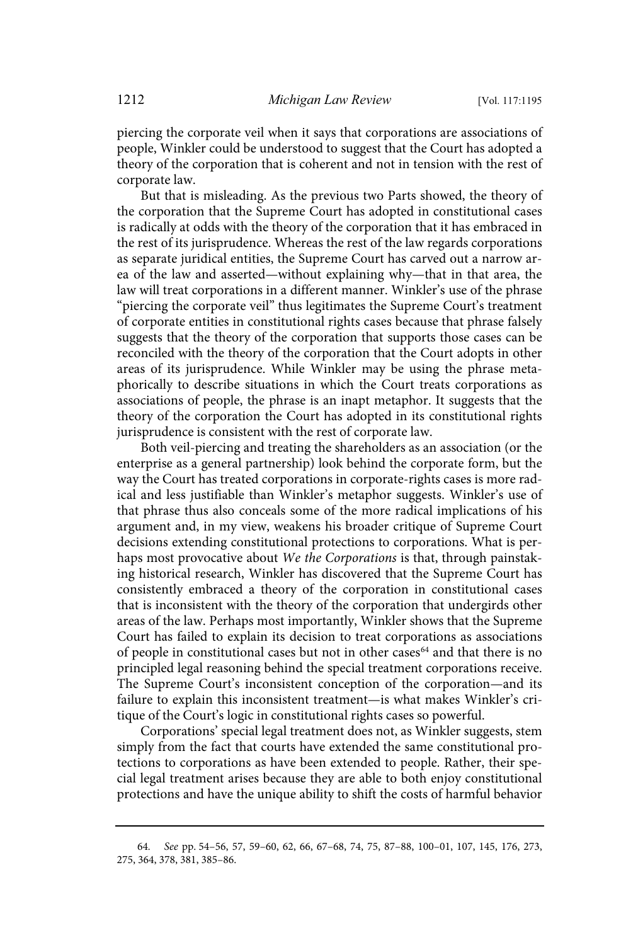piercing the corporate veil when it says that corporations are associations of people, Winkler could be understood to suggest that the Court has adopted a theory of the corporation that is coherent and not in tension with the rest of corporate law.

But that is misleading. As the previous two Parts showed, the theory of the corporation that the Supreme Court has adopted in constitutional cases is radically at odds with the theory of the corporation that it has embraced in the rest of its jurisprudence. Whereas the rest of the law regards corporations as separate juridical entities, the Supreme Court has carved out a narrow area of the law and asserted—without explaining why—that in that area, the law will treat corporations in a different manner. Winkler's use of the phrase "piercing the corporate veil" thus legitimates the Supreme Court's treatment of corporate entities in constitutional rights cases because that phrase falsely suggests that the theory of the corporation that supports those cases can be reconciled with the theory of the corporation that the Court adopts in other areas of its jurisprudence. While Winkler may be using the phrase metaphorically to describe situations in which the Court treats corporations as associations of people, the phrase is an inapt metaphor. It suggests that the theory of the corporation the Court has adopted in its constitutional rights jurisprudence is consistent with the rest of corporate law.

Both veil-piercing and treating the shareholders as an association (or the enterprise as a general partnership) look behind the corporate form, but the way the Court has treated corporations in corporate-rights cases is more radical and less justifiable than Winkler's metaphor suggests. Winkler's use of that phrase thus also conceals some of the more radical implications of his argument and, in my view, weakens his broader critique of Supreme Court decisions extending constitutional protections to corporations. What is perhaps most provocative about We the Corporations is that, through painstaking historical research, Winkler has discovered that the Supreme Court has consistently embraced a theory of the corporation in constitutional cases that is inconsistent with the theory of the corporation that undergirds other areas of the law. Perhaps most importantly, Winkler shows that the Supreme Court has failed to explain its decision to treat corporations as associations of people in constitutional cases but not in other cases<sup>64</sup> and that there is no principled legal reasoning behind the special treatment corporations receive. The Supreme Court's inconsistent conception of the corporation—and its failure to explain this inconsistent treatment—is what makes Winkler's critique of the Court's logic in constitutional rights cases so powerful.

Corporations' special legal treatment does not, as Winkler suggests, stem simply from the fact that courts have extended the same constitutional protections to corporations as have been extended to people. Rather, their special legal treatment arises because they are able to both enjoy constitutional protections and have the unique ability to shift the costs of harmful behavior

<sup>64</sup> . See pp. 54–56, 57, 59–60, 62, 66, 67–68, 74, 75, 87–88, 100–01, 107, 145, 176, 273, 275, 364, 378, 381, 385–86.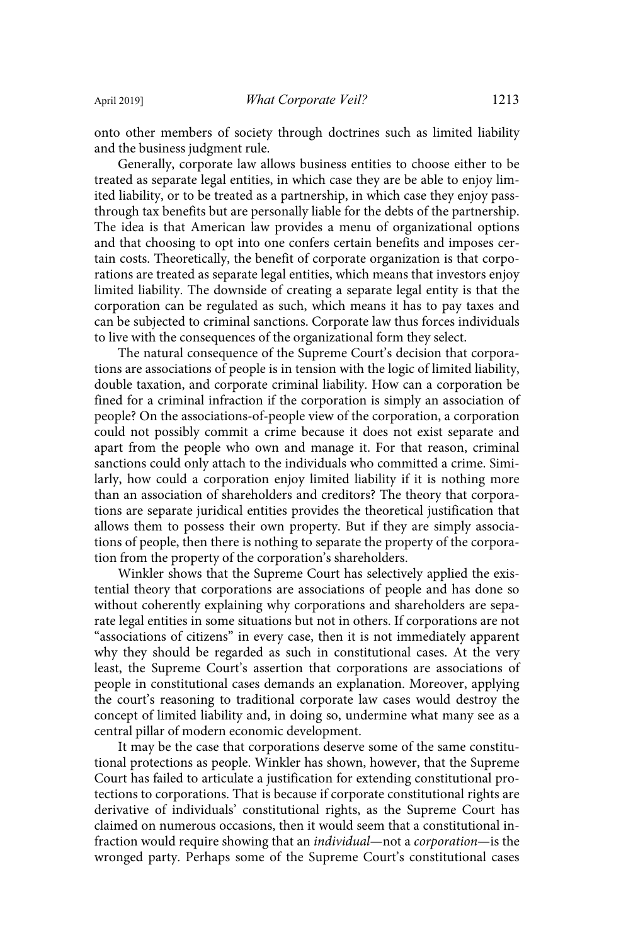onto other members of society through doctrines such as limited liability and the business judgment rule.

Generally, corporate law allows business entities to choose either to be treated as separate legal entities, in which case they are be able to enjoy limited liability, or to be treated as a partnership, in which case they enjoy passthrough tax benefits but are personally liable for the debts of the partnership. The idea is that American law provides a menu of organizational options and that choosing to opt into one confers certain benefits and imposes certain costs. Theoretically, the benefit of corporate organization is that corporations are treated as separate legal entities, which means that investors enjoy limited liability. The downside of creating a separate legal entity is that the corporation can be regulated as such, which means it has to pay taxes and can be subjected to criminal sanctions. Corporate law thus forces individuals to live with the consequences of the organizational form they select.

The natural consequence of the Supreme Court's decision that corporations are associations of people is in tension with the logic of limited liability, double taxation, and corporate criminal liability. How can a corporation be fined for a criminal infraction if the corporation is simply an association of people? On the associations-of-people view of the corporation, a corporation could not possibly commit a crime because it does not exist separate and apart from the people who own and manage it. For that reason, criminal sanctions could only attach to the individuals who committed a crime. Similarly, how could a corporation enjoy limited liability if it is nothing more than an association of shareholders and creditors? The theory that corporations are separate juridical entities provides the theoretical justification that allows them to possess their own property. But if they are simply associations of people, then there is nothing to separate the property of the corporation from the property of the corporation's shareholders.

Winkler shows that the Supreme Court has selectively applied the existential theory that corporations are associations of people and has done so without coherently explaining why corporations and shareholders are separate legal entities in some situations but not in others. If corporations are not "associations of citizens" in every case, then it is not immediately apparent why they should be regarded as such in constitutional cases. At the very least, the Supreme Court's assertion that corporations are associations of people in constitutional cases demands an explanation. Moreover, applying the court's reasoning to traditional corporate law cases would destroy the concept of limited liability and, in doing so, undermine what many see as a central pillar of modern economic development.

It may be the case that corporations deserve some of the same constitutional protections as people. Winkler has shown, however, that the Supreme Court has failed to articulate a justification for extending constitutional protections to corporations. That is because if corporate constitutional rights are derivative of individuals' constitutional rights, as the Supreme Court has claimed on numerous occasions, then it would seem that a constitutional infraction would require showing that an individual—not a corporation—is the wronged party. Perhaps some of the Supreme Court's constitutional cases